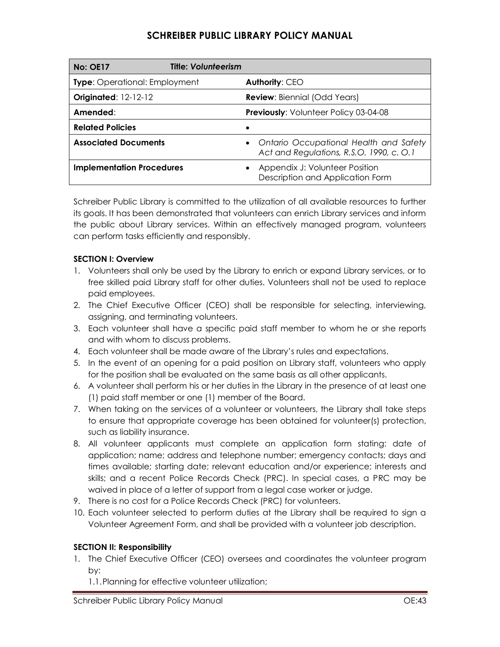| <b>No: OE17</b>                      | <b>Title: Volunteerism</b> |                                                                                     |
|--------------------------------------|----------------------------|-------------------------------------------------------------------------------------|
| <b>Type:</b> Operational: Employment |                            | <b>Authority: CEO</b>                                                               |
| <b>Originated: 12-12-12</b>          |                            | <b>Review:</b> Biennial (Odd Years)                                                 |
| Amended:                             |                            | Previously: Volunteer Policy 03-04-08                                               |
| <b>Related Policies</b>              |                            |                                                                                     |
| <b>Associated Documents</b>          |                            | • Ontario Occupational Health and Safety<br>Act and Regulations, R.S.O. 1990, c.O.1 |
| <b>Implementation Procedures</b>     |                            | Appendix J: Volunteer Position<br>Description and Application Form                  |

Schreiber Public Library is committed to the utilization of all available resources to further its goals. It has been demonstrated that volunteers can enrich Library services and inform the public about Library services. Within an effectively managed program, volunteers can perform tasks efficiently and responsibly.

### **SECTION I: Overview**

- 1. Volunteers shall only be used by the Library to enrich or expand Library services, or to free skilled paid Library staff for other duties. Volunteers shall not be used to replace paid employees.
- 2. The Chief Executive Officer (CEO) shall be responsible for selecting, interviewing, assigning, and terminating volunteers.
- 3. Each volunteer shall have a specific paid staff member to whom he or she reports and with whom to discuss problems.
- 4. Each volunteer shall be made aware of the Library's rules and expectations.
- 5. In the event of an opening for a paid position on Library staff, volunteers who apply for the position shall be evaluated on the same basis as all other applicants.
- 6. A volunteer shall perform his or her duties in the Library in the presence of at least one (1) paid staff member or one (1) member of the Board.
- 7. When taking on the services of a volunteer or volunteers, the Library shall take steps to ensure that appropriate coverage has been obtained for volunteer(s) protection, such as liability insurance.
- 8. All volunteer applicants must complete an application form stating: date of application; name; address and telephone number; emergency contacts; days and times available; starting date; relevant education and/or experience; interests and skills; and a recent Police Records Check (PRC). In special cases, a PRC may be waived in place of a letter of support from a legal case worker or judge.
- 9. There is no cost for a Police Records Check (PRC) for volunteers.
- 10. Each volunteer selected to perform duties at the Library shall be required to sign a Volunteer Agreement Form, and shall be provided with a volunteer job description.

## **SECTION II: Responsibility**

- 1. The Chief Executive Officer (CEO) oversees and coordinates the volunteer program by:
	- 1.1.Planning for effective volunteer utilization;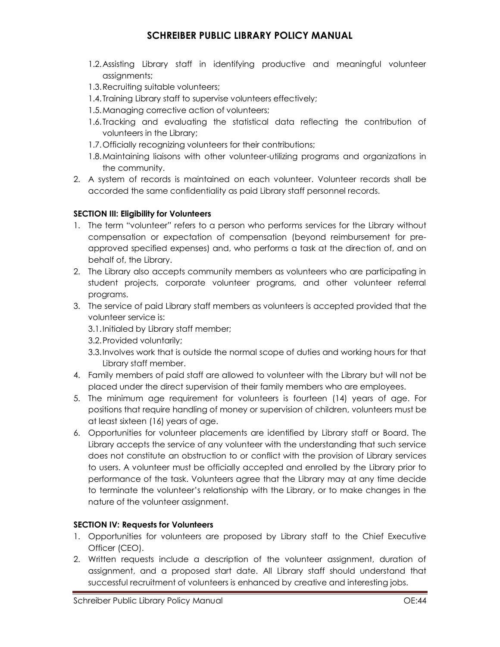- 1.2.Assisting Library staff in identifying productive and meaningful volunteer assignments;
- 1.3.Recruiting suitable volunteers;
- 1.4.Training Library staff to supervise volunteers effectively;
- 1.5.Managing corrective action of volunteers;
- 1.6.Tracking and evaluating the statistical data reflecting the contribution of volunteers in the Library;
- 1.7.Officially recognizing volunteers for their contributions;
- 1.8.Maintaining liaisons with other volunteer-utilizing programs and organizations in the community.
- 2. A system of records is maintained on each volunteer. Volunteer records shall be accorded the same confidentiality as paid Library staff personnel records.

## **SECTION III: Eligibility for Volunteers**

- 1. The term "volunteer" refers to a person who performs services for the Library without compensation or expectation of compensation (beyond reimbursement for preapproved specified expenses) and, who performs a task at the direction of, and on behalf of, the Library.
- 2. The Library also accepts community members as volunteers who are participating in student projects, corporate volunteer programs, and other volunteer referral programs.
- 3. The service of paid Library staff members as volunteers is accepted provided that the volunteer service is:
	- 3.1.Initialed by Library staff member;
	- 3.2.Provided voluntarily;
	- 3.3.Involves work that is outside the normal scope of duties and working hours for that Library staff member.
- 4. Family members of paid staff are allowed to volunteer with the Library but will not be placed under the direct supervision of their family members who are employees.
- 5. The minimum age requirement for volunteers is fourteen (14) years of age. For positions that require handling of money or supervision of children, volunteers must be at least sixteen (16) years of age.
- 6. Opportunities for volunteer placements are identified by Library staff or Board. The Library accepts the service of any volunteer with the understanding that such service does not constitute an obstruction to or conflict with the provision of Library services to users. A volunteer must be officially accepted and enrolled by the Library prior to performance of the task. Volunteers agree that the Library may at any time decide to terminate the volunteer's relationship with the Library, or to make changes in the nature of the volunteer assignment.

## **SECTION IV: Requests for Volunteers**

- 1. Opportunities for volunteers are proposed by Library staff to the Chief Executive Officer (CEO).
- 2. Written requests include a description of the volunteer assignment, duration of assignment, and a proposed start date. All Library staff should understand that successful recruitment of volunteers is enhanced by creative and interesting jobs.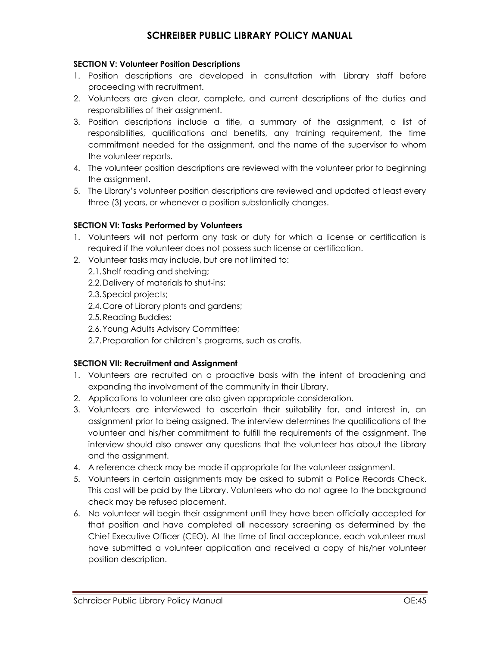#### **SECTION V: Volunteer Position Descriptions**

- 1. Position descriptions are developed in consultation with Library staff before proceeding with recruitment.
- 2. Volunteers are given clear, complete, and current descriptions of the duties and responsibilities of their assignment.
- 3. Position descriptions include a title, a summary of the assignment, a list of responsibilities, qualifications and benefits, any training requirement, the time commitment needed for the assignment, and the name of the supervisor to whom the volunteer reports.
- 4. The volunteer position descriptions are reviewed with the volunteer prior to beginning the assignment.
- 5. The Library's volunteer position descriptions are reviewed and updated at least every three (3) years, or whenever a position substantially changes.

#### **SECTION VI: Tasks Performed by Volunteers**

- 1. Volunteers will not perform any task or duty for which a license or certification is required if the volunteer does not possess such license or certification.
- 2. Volunteer tasks may include, but are not limited to:
	- 2.1.Shelf reading and shelving;
	- 2.2.Delivery of materials to shut-ins;
	- 2.3.Special projects;
	- 2.4.Care of Library plants and gardens;
	- 2.5.Reading Buddies;
	- 2.6.Young Adults Advisory Committee;
	- 2.7.Preparation for children's programs, such as crafts.

#### **SECTION VII: Recruitment and Assignment**

- 1. Volunteers are recruited on a proactive basis with the intent of broadening and expanding the involvement of the community in their Library.
- 2. Applications to volunteer are also given appropriate consideration.
- 3. Volunteers are interviewed to ascertain their suitability for, and interest in, an assignment prior to being assigned. The interview determines the qualifications of the volunteer and his/her commitment to fulfill the requirements of the assignment. The interview should also answer any questions that the volunteer has about the Library and the assignment.
- 4. A reference check may be made if appropriate for the volunteer assignment.
- 5. Volunteers in certain assignments may be asked to submit a Police Records Check. This cost will be paid by the Library. Volunteers who do not agree to the background check may be refused placement.
- 6. No volunteer will begin their assignment until they have been officially accepted for that position and have completed all necessary screening as determined by the Chief Executive Officer (CEO). At the time of final acceptance, each volunteer must have submitted a volunteer application and received a copy of his/her volunteer position description.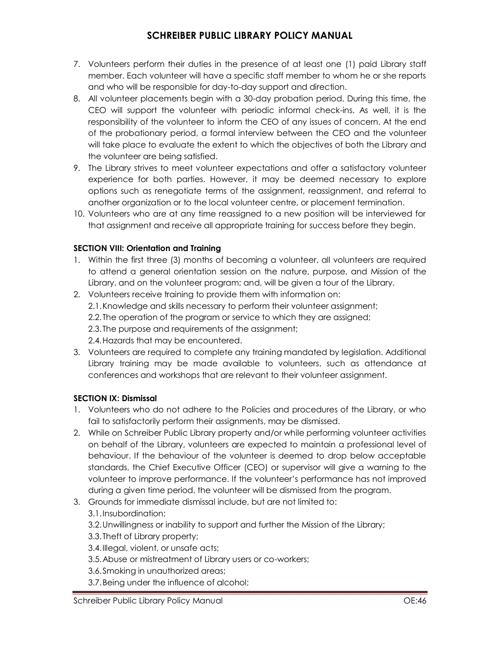- 7. Volunteers perform their duties in the presence of at least one (1) paid Library staff member. Each volunteer will have a specific staff member to whom he or she reports and who will be responsible for day-to-day support and direction.
- 8. All volunteer placements begin with a 30-day probation period. During this time, the CEO will support the volunteer with periodic informal check-ins. As well, it is the responsibility of the volunteer to inform the CEO of any issues of concern. At the end of the probationary period, a formal interview between the CEO and the volunteer will take place to evaluate the extent to which the objectives of both the Library and the volunteer are being satisfied.
- 9. The Library strives to meet volunteer expectations and offer a satisfactory volunteer experience for both parties. However, it may be deemed necessary to explore options such as renegotiate terms of the assignment, reassignment, and referral to another organization or to the local volunteer centre, or placement termination.
- 10. Volunteers who are at any time reassigned to a new position will be interviewed for that assignment and receive all appropriate training for success before they begin.

## **SECTION VIII: Orientation and Training**

- 1. Within the first three (3) months of becoming a volunteer, all volunteers are required to attend a general orientation session on the nature, purpose, and Mission of the Library, and on the volunteer program; and, will be given a tour of the Library.
- 2. Volunteers receive training to provide them with information on: 2.1.Knowledge and skills necessary to perform their volunteer assignment; 2.2.The operation of the program or service to which they are assigned; 2.3.The purpose and requirements of the assignment; 2.4.Hazards that may be encountered.
- 3. Volunteers are required to complete any training mandated by legislation. Additional Library training may be made available to volunteers, such as attendance at conferences and workshops that are relevant to their volunteer assignment.

## **SECTION IX: Dismissal**

- 1. Volunteers who do not adhere to the Policies and procedures of the Library, or who fail to satisfactorily perform their assignments, may be dismissed.
- 2. While on Schreiber Public Library property and/or while performing volunteer activities on behalf of the Library, volunteers are expected to maintain a professional level of behaviour. If the behaviour of the volunteer is deemed to drop below acceptable standards, the Chief Executive Officer (CEO) or supervisor will give a warning to the volunteer to improve performance. If the volunteer's performance has not improved during a given time period, the volunteer will be dismissed from the program.
- 3. Grounds for immediate dismissal include, but are not limited to:

## 3.1.Insubordination;

- 3.2.Unwillingness or inability to support and further the Mission of the Library;
- 3.3.Theft of Library property;
- 3.4.Illegal, violent, or unsafe acts;
- 3.5.Abuse or mistreatment of Library users or co-workers;
- 3.6.Smoking in unauthorized areas;
- 3.7.Being under the influence of alcohol;